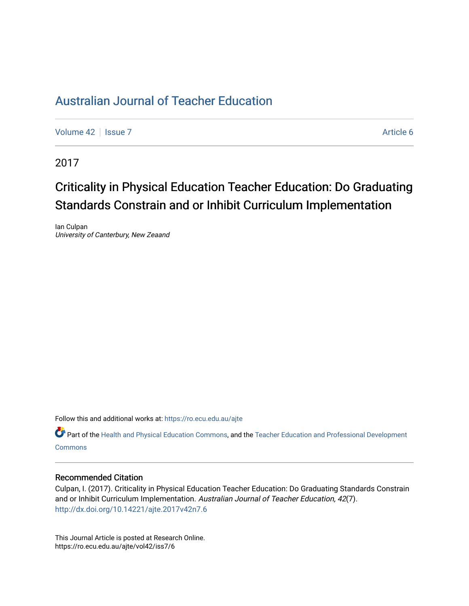## [Australian Journal of Teacher Education](https://ro.ecu.edu.au/ajte)

[Volume 42](https://ro.ecu.edu.au/ajte/vol42) | [Issue 7](https://ro.ecu.edu.au/ajte/vol42/iss7) Article 6

2017

# Criticality in Physical Education Teacher Education: Do Graduating Standards Constrain and or Inhibit Curriculum Implementation

Ian Culpan University of Canterbury, New Zeaand

Follow this and additional works at: [https://ro.ecu.edu.au/ajte](https://ro.ecu.edu.au/ajte?utm_source=ro.ecu.edu.au%2Fajte%2Fvol42%2Fiss7%2F6&utm_medium=PDF&utm_campaign=PDFCoverPages) 

Part of the [Health and Physical Education Commons,](http://network.bepress.com/hgg/discipline/1327?utm_source=ro.ecu.edu.au%2Fajte%2Fvol42%2Fiss7%2F6&utm_medium=PDF&utm_campaign=PDFCoverPages) and the Teacher Education and Professional Development **Commons** 

#### Recommended Citation

Culpan, I. (2017). Criticality in Physical Education Teacher Education: Do Graduating Standards Constrain and or Inhibit Curriculum Implementation. Australian Journal of Teacher Education, 42(7). <http://dx.doi.org/10.14221/ajte.2017v42n7.6>

This Journal Article is posted at Research Online. https://ro.ecu.edu.au/ajte/vol42/iss7/6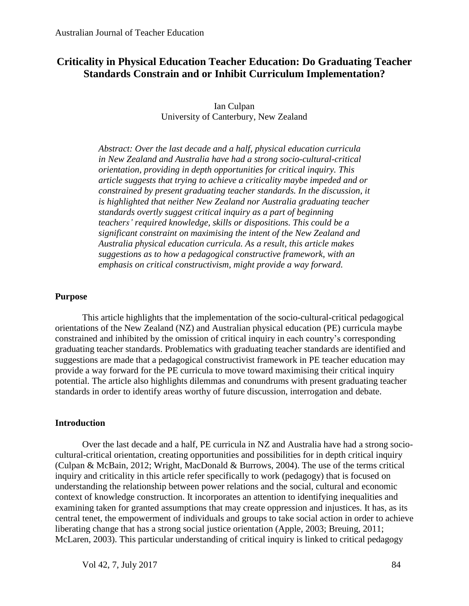## **Criticality in Physical Education Teacher Education: Do Graduating Teacher Standards Constrain and or Inhibit Curriculum Implementation?**

Ian Culpan University of Canterbury, New Zealand

*Abstract: Over the last decade and a half, physical education curricula in New Zealand and Australia have had a strong socio-cultural-critical orientation, providing in depth opportunities for critical inquiry. This article suggests that trying to achieve a criticality maybe impeded and or constrained by present graduating teacher standards. In the discussion, it is highlighted that neither New Zealand nor Australia graduating teacher standards overtly suggest critical inquiry as a part of beginning teachers' required knowledge, skills or dispositions. This could be a significant constraint on maximising the intent of the New Zealand and Australia physical education curricula. As a result, this article makes suggestions as to how a pedagogical constructive framework, with an emphasis on critical constructivism, might provide a way forward.* 

#### **Purpose**

This article highlights that the implementation of the socio-cultural-critical pedagogical orientations of the New Zealand (NZ) and Australian physical education (PE) curricula maybe constrained and inhibited by the omission of critical inquiry in each country's corresponding graduating teacher standards. Problematics with graduating teacher standards are identified and suggestions are made that a pedagogical constructivist framework in PE teacher education may provide a way forward for the PE curricula to move toward maximising their critical inquiry potential. The article also highlights dilemmas and conundrums with present graduating teacher standards in order to identify areas worthy of future discussion, interrogation and debate.

#### **Introduction**

Over the last decade and a half, PE curricula in NZ and Australia have had a strong sociocultural-critical orientation, creating opportunities and possibilities for in depth critical inquiry (Culpan & McBain, 2012; Wright, MacDonald & Burrows, 2004). The use of the terms critical inquiry and criticality in this article refer specifically to work (pedagogy) that is focused on understanding the relationship between power relations and the social, cultural and economic context of knowledge construction. It incorporates an attention to identifying inequalities and examining taken for granted assumptions that may create oppression and injustices. It has, as its central tenet, the empowerment of individuals and groups to take social action in order to achieve liberating change that has a strong social justice orientation (Apple, 2003; Breuing, 2011; McLaren, 2003). This particular understanding of critical inquiry is linked to critical pedagogy

Vol 42, 7, July 2017 84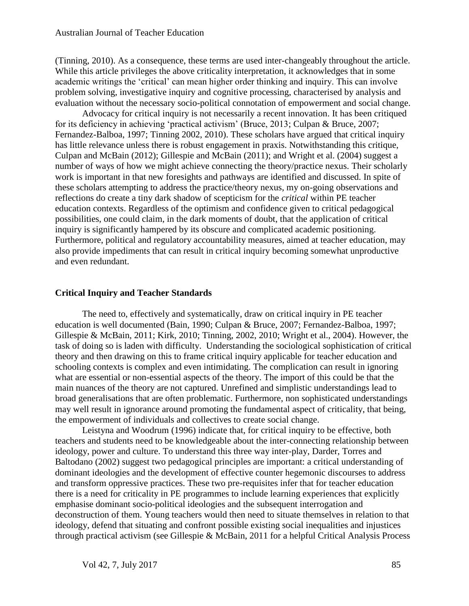(Tinning, 2010). As a consequence, these terms are used inter-changeably throughout the article. While this article privileges the above criticality interpretation, it acknowledges that in some academic writings the 'critical' can mean higher order thinking and inquiry. This can involve problem solving, investigative inquiry and cognitive processing, characterised by analysis and evaluation without the necessary socio-political connotation of empowerment and social change.

Advocacy for critical inquiry is not necessarily a recent innovation. It has been critiqued for its deficiency in achieving 'practical activism' (Bruce, 2013; Culpan & Bruce, 2007; Fernandez-Balboa, 1997; Tinning 2002, 2010). These scholars have argued that critical inquiry has little relevance unless there is robust engagement in praxis. Notwithstanding this critique, Culpan and McBain (2012); Gillespie and McBain (2011); and Wright et al. (2004) suggest a number of ways of how we might achieve connecting the theory/practice nexus. Their scholarly work is important in that new foresights and pathways are identified and discussed. In spite of these scholars attempting to address the practice/theory nexus, my on-going observations and reflections do create a tiny dark shadow of scepticism for the *critical* within PE teacher education contexts. Regardless of the optimism and confidence given to critical pedagogical possibilities, one could claim, in the dark moments of doubt, that the application of critical inquiry is significantly hampered by its obscure and complicated academic positioning. Furthermore, political and regulatory accountability measures, aimed at teacher education, may also provide impediments that can result in critical inquiry becoming somewhat unproductive and even redundant.

#### **Critical Inquiry and Teacher Standards**

The need to, effectively and systematically, draw on critical inquiry in PE teacher education is well documented (Bain, 1990; Culpan & Bruce, 2007; Fernandez-Balboa, 1997; Gillespie & McBain, 2011; Kirk, 2010; Tinning, 2002, 2010; Wright et al., 2004). However, the task of doing so is laden with difficulty. Understanding the sociological sophistication of critical theory and then drawing on this to frame critical inquiry applicable for teacher education and schooling contexts is complex and even intimidating. The complication can result in ignoring what are essential or non-essential aspects of the theory. The import of this could be that the main nuances of the theory are not captured. Unrefined and simplistic understandings lead to broad generalisations that are often problematic. Furthermore, non sophisticated understandings may well result in ignorance around promoting the fundamental aspect of criticality, that being, the empowerment of individuals and collectives to create social change.

Leistyna and Woodrum (1996) indicate that, for critical inquiry to be effective, both teachers and students need to be knowledgeable about the inter-connecting relationship between ideology, power and culture. To understand this three way inter-play, Darder, Torres and Baltodano (2002) suggest two pedagogical principles are important: a critical understanding of dominant ideologies and the development of effective counter hegemonic discourses to address and transform oppressive practices. These two pre-requisites infer that for teacher education there is a need for criticality in PE programmes to include learning experiences that explicitly emphasise dominant socio-political ideologies and the subsequent interrogation and deconstruction of them. Young teachers would then need to situate themselves in relation to that ideology, defend that situating and confront possible existing social inequalities and injustices through practical activism (see Gillespie & McBain, 2011 for a helpful Critical Analysis Process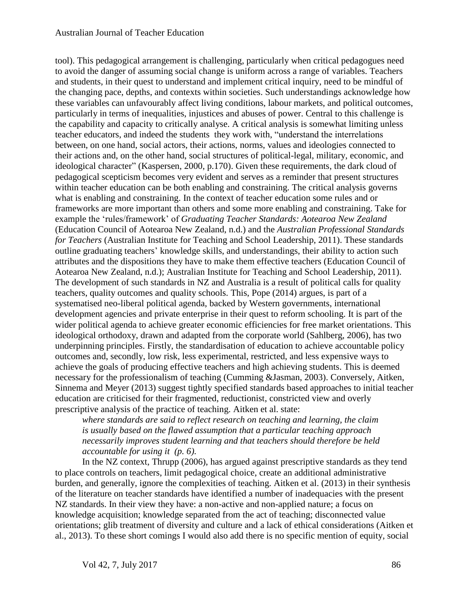#### Australian Journal of Teacher Education

tool). This pedagogical arrangement is challenging, particularly when critical pedagogues need to avoid the danger of assuming social change is uniform across a range of variables. Teachers and students, in their quest to understand and implement critical inquiry, need to be mindful of the changing pace, depths, and contexts within societies. Such understandings acknowledge how these variables can unfavourably affect living conditions, labour markets, and political outcomes, particularly in terms of inequalities, injustices and abuses of power. Central to this challenge is the capability and capacity to critically analyse. A critical analysis is somewhat limiting unless teacher educators, and indeed the students they work with, "understand the interrelations between, on one hand, social actors, their actions, norms, values and ideologies connected to their actions and, on the other hand, social structures of political-legal, military, economic, and ideological character" (Kaspersen, 2000, p.170). Given these requirements, the dark cloud of pedagogical scepticism becomes very evident and serves as a reminder that present structures within teacher education can be both enabling and constraining. The critical analysis governs what is enabling and constraining. In the context of teacher education some rules and or frameworks are more important than others and some more enabling and constraining. Take for example the 'rules/framework' of *Graduating Teacher Standards: Aotearoa New Zealand*  (Education Council of Aotearoa New Zealand, n.d.) and the *Australian Professional Standards for Teachers* (Australian Institute for Teaching and School Leadership, 2011). These standards outline graduating teachers' knowledge skills, and understandings, their ability to action such attributes and the dispositions they have to make them effective teachers (Education Council of Aotearoa New Zealand, n.d.); Australian Institute for Teaching and School Leadership, 2011). The development of such standards in NZ and Australia is a result of political calls for quality teachers, quality outcomes and quality schools. This, Pope (2014) argues, is part of a systematised neo-liberal political agenda, backed by Western governments, international development agencies and private enterprise in their quest to reform schooling. It is part of the wider political agenda to achieve greater economic efficiencies for free market orientations. This ideological orthodoxy, drawn and adapted from the corporate world (Sahlberg, 2006), has two underpinning principles. Firstly, the standardisation of education to achieve accountable policy outcomes and, secondly, low risk, less experimental, restricted, and less expensive ways to achieve the goals of producing effective teachers and high achieving students. This is deemed necessary for the professionalism of teaching (Cumming &Jasman, 2003). Conversely, Aitken, Sinnema and Meyer (2013) suggest tightly specified standards based approaches to initial teacher education are criticised for their fragmented, reductionist, constricted view and overly prescriptive analysis of the practice of teaching. Aitken et al. state:

*where standards are said to reflect research on teaching and learning, the claim is usually based on the flawed assumption that a particular teaching approach necessarily improves student learning and that teachers should therefore be held accountable for using it (p. 6).* 

In the NZ context, Thrupp (2006), has argued against prescriptive standards as they tend to place controls on teachers, limit pedagogical choice, create an additional administrative burden, and generally, ignore the complexities of teaching. Aitken et al. (2013) in their synthesis of the literature on teacher standards have identified a number of inadequacies with the present NZ standards. In their view they have: a non-active and non-applied nature; a focus on knowledge acquisition; knowledge separated from the act of teaching; disconnected value orientations; glib treatment of diversity and culture and a lack of ethical considerations (Aitken et al., 2013). To these short comings I would also add there is no specific mention of equity, social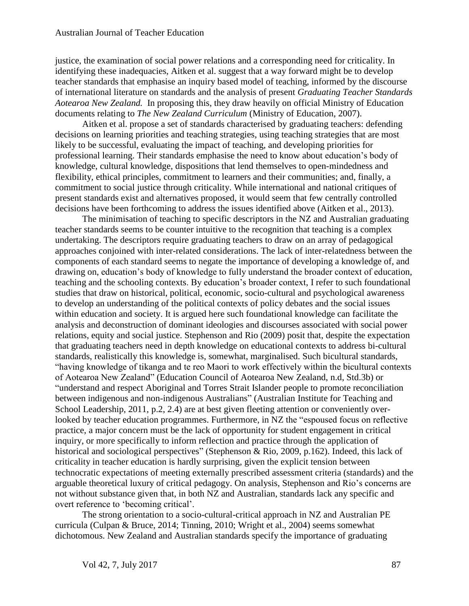justice, the examination of social power relations and a corresponding need for criticality. In identifying these inadequacies, Aitken et al. suggest that a way forward might be to develop teacher standards that emphasise an inquiry based model of teaching, informed by the discourse of international literature on standards and the analysis of present *Graduating Teacher Standards Aotearoa New Zealand.* In proposing this, they draw heavily on official Ministry of Education documents relating to *The New Zealand Curriculum* (Ministry of Education, 2007).

Aitken et al. propose a set of standards characterised by graduating teachers: defending decisions on learning priorities and teaching strategies, using teaching strategies that are most likely to be successful, evaluating the impact of teaching, and developing priorities for professional learning. Their standards emphasise the need to know about education's body of knowledge, cultural knowledge, dispositions that lend themselves to open-mindedness and flexibility, ethical principles, commitment to learners and their communities; and, finally, a commitment to social justice through criticality. While international and national critiques of present standards exist and alternatives proposed, it would seem that few centrally controlled decisions have been forthcoming to address the issues identified above (Aitken et al., 2013).

The minimisation of teaching to specific descriptors in the NZ and Australian graduating teacher standards seems to be counter intuitive to the recognition that teaching is a complex undertaking. The descriptors require graduating teachers to draw on an array of pedagogical approaches conjoined with inter-related considerations. The lack of inter-relatedness between the components of each standard seems to negate the importance of developing a knowledge of, and drawing on, education's body of knowledge to fully understand the broader context of education, teaching and the schooling contexts. By education's broader context, I refer to such foundational studies that draw on historical, political, economic, socio-cultural and psychological awareness to develop an understanding of the political contexts of policy debates and the social issues within education and society. It is argued here such foundational knowledge can facilitate the analysis and deconstruction of dominant ideologies and discourses associated with social power relations, equity and social justice. Stephenson and Rio (2009) posit that, despite the expectation that graduating teachers need in depth knowledge on educational contexts to address bi-cultural standards, realistically this knowledge is, somewhat, marginalised. Such bicultural standards, "having knowledge of tikanga and te reo Maori to work effectively within the bicultural contexts of Aotearoa New Zealand" (Education Council of Aotearoa New Zealand, n.d, Std.3b) or "understand and respect Aboriginal and Torres Strait Islander people to promote reconciliation between indigenous and non-indigenous Australians" (Australian Institute for Teaching and School Leadership, 2011, p.2, 2.4) are at best given fleeting attention or conveniently overlooked by teacher education programmes. Furthermore, in NZ the "espoused focus on reflective" practice, a major concern must be the lack of opportunity for student engagement in critical inquiry, or more specifically to inform reflection and practice through the application of historical and sociological perspectives" (Stephenson & Rio, 2009, p.162). Indeed, this lack of criticality in teacher education is hardly surprising, given the explicit tension between technocratic expectations of meeting externally prescribed assessment criteria (standards) and the arguable theoretical luxury of critical pedagogy. On analysis, Stephenson and Rio's concerns are not without substance given that, in both NZ and Australian, standards lack any specific and overt reference to 'becoming critical'.

The strong orientation to a socio-cultural-critical approach in NZ and Australian PE curricula (Culpan & Bruce, 2014; Tinning, 2010; Wright et al., 2004) seems somewhat dichotomous. New Zealand and Australian standards specify the importance of graduating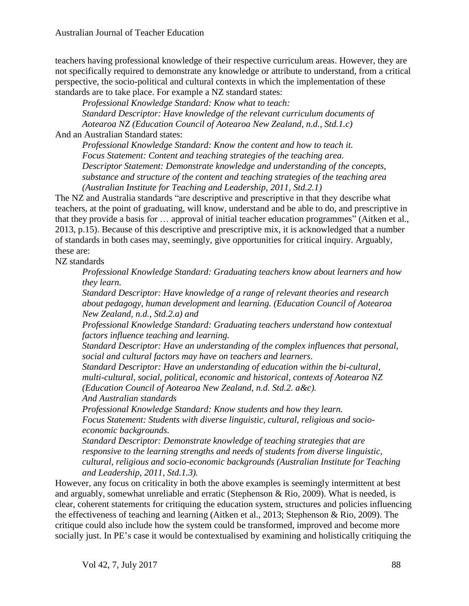teachers having professional knowledge of their respective curriculum areas. However, they are not specifically required to demonstrate any knowledge or attribute to understand, from a critical perspective, the socio-political and cultural contexts in which the implementation of these standards are to take place. For example a NZ standard states:

*Professional Knowledge Standard: Know what to teach: Standard Descriptor: Have knowledge of the relevant curriculum documents of Aotearoa NZ (Education Council of Aotearoa New Zealand, n.d., Std.1.c)*

And an Australian Standard states:

*Professional Knowledge Standard: Know the content and how to teach it. Focus Statement: Content and teaching strategies of the teaching area. Descriptor Statement: Demonstrate knowledge and understanding of the concepts, substance and structure of the content and teaching strategies of the teaching area (Australian Institute for Teaching and Leadership, 2011, Std.2.1)*

The NZ and Australia standards "are descriptive and prescriptive in that they describe what teachers, at the point of graduating, will know, understand and be able to do, and prescriptive in that they provide a basis for … approval of initial teacher education programmes" (Aitken et al., 2013, p.15). Because of this descriptive and prescriptive mix, it is acknowledged that a number of standards in both cases may, seemingly, give opportunities for critical inquiry. Arguably, these are:

NZ standards

*Professional Knowledge Standard: Graduating teachers know about learners and how they learn.*

*Standard Descriptor: Have knowledge of a range of relevant theories and research about pedagogy, human development and learning. (Education Council of Aotearoa New Zealand, n.d., Std.2.a) and* 

*Professional Knowledge Standard: Graduating teachers understand how contextual factors influence teaching and learning.*

*Standard Descriptor: Have an understanding of the complex influences that personal, social and cultural factors may have on teachers and learners.*

*Standard Descriptor: Have an understanding of education within the bi-cultural, multi-cultural, social, political, economic and historical, contexts of Aotearoa NZ (Education Council of Aotearoa New Zealand, n.d. Std.2. a&c).*

*And Australian standards*

*Professional Knowledge Standard: Know students and how they learn. Focus Statement: Students with diverse linguistic, cultural, religious and socioeconomic backgrounds.*

*Standard Descriptor: Demonstrate knowledge of teaching strategies that are responsive to the learning strengths and needs of students from diverse linguistic, cultural, religious and socio-economic backgrounds (Australian Institute for Teaching and Leadership, 2011, Std.1.3).*

However, any focus on criticality in both the above examples is seemingly intermittent at best and arguably, somewhat unreliable and erratic (Stephenson & Rio, 2009). What is needed, is clear, coherent statements for critiquing the education system, structures and policies influencing the effectiveness of teaching and learning (Aitken et al., 2013; Stephenson & Rio, 2009). The critique could also include how the system could be transformed, improved and become more socially just. In PE's case it would be contextualised by examining and holistically critiquing the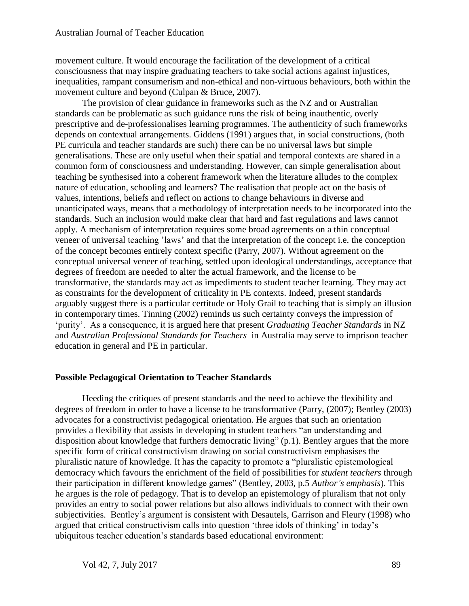movement culture. It would encourage the facilitation of the development of a critical consciousness that may inspire graduating teachers to take social actions against injustices, inequalities, rampant consumerism and non-ethical and non-virtuous behaviours, both within the movement culture and beyond (Culpan & Bruce, 2007).

The provision of clear guidance in frameworks such as the NZ and or Australian standards can be problematic as such guidance runs the risk of being inauthentic, overly prescriptive and de-professionalises learning programmes. The authenticity of such frameworks depends on contextual arrangements. Giddens (1991) argues that, in social constructions, (both PE curricula and teacher standards are such) there can be no universal laws but simple generalisations. These are only useful when their spatial and temporal contexts are shared in a common form of consciousness and understanding. However, can simple generalisation about teaching be synthesised into a coherent framework when the literature alludes to the complex nature of education, schooling and learners? The realisation that people act on the basis of values, intentions, beliefs and reflect on actions to change behaviours in diverse and unanticipated ways, means that a methodology of interpretation needs to be incorporated into the standards. Such an inclusion would make clear that hard and fast regulations and laws cannot apply. A mechanism of interpretation requires some broad agreements on a thin conceptual veneer of universal teaching 'laws' and that the interpretation of the concept i.e. the conception of the concept becomes entirely context specific (Parry, 2007). Without agreement on the conceptual universal veneer of teaching, settled upon ideological understandings, acceptance that degrees of freedom are needed to alter the actual framework, and the license to be transformative, the standards may act as impediments to student teacher learning. They may act as constraints for the development of criticality in PE contexts. Indeed, present standards arguably suggest there is a particular certitude or Holy Grail to teaching that is simply an illusion in contemporary times. Tinning (2002) reminds us such certainty conveys the impression of 'purity'. As a consequence, it is argued here that present *Graduating Teacher Standards* in NZ and *Australian Professional Standards for Teachers* in Australia may serve to imprison teacher education in general and PE in particular.

#### **Possible Pedagogical Orientation to Teacher Standards**

Heeding the critiques of present standards and the need to achieve the flexibility and degrees of freedom in order to have a license to be transformative (Parry, (2007); Bentley (2003) advocates for a constructivist pedagogical orientation. He argues that such an orientation provides a flexibility that assists in developing in student teachers "an understanding and disposition about knowledge that furthers democratic living" (p.1). Bentley argues that the more specific form of critical constructivism drawing on social constructivism emphasises the pluralistic nature of knowledge. It has the capacity to promote a "pluralistic epistemological democracy which favours the enrichment of the field of possibilities for *student teachers* through their participation in different knowledge games" (Bentley, 2003, p.5 *Author's emphasis*). This he argues is the role of pedagogy. That is to develop an epistemology of pluralism that not only provides an entry to social power relations but also allows individuals to connect with their own subjectivities. Bentley's argument is consistent with Desautels, Garrison and Fleury (1998) who argued that critical constructivism calls into question 'three idols of thinking' in today's ubiquitous teacher education's standards based educational environment: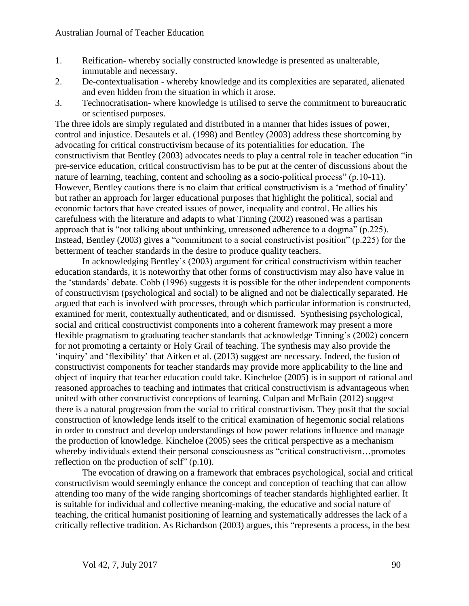- 1. Reification- whereby socially constructed knowledge is presented as unalterable, immutable and necessary.
- 2. De-contextualisation whereby knowledge and its complexities are separated, alienated and even hidden from the situation in which it arose.
- 3. Technocratisation- where knowledge is utilised to serve the commitment to bureaucratic or scientised purposes.

The three idols are simply regulated and distributed in a manner that hides issues of power, control and injustice. Desautels et al. (1998) and Bentley (2003) address these shortcoming by advocating for critical constructivism because of its potentialities for education. The constructivism that Bentley (2003) advocates needs to play a central role in teacher education "in pre-service education, critical constructivism has to be put at the center of discussions about the nature of learning, teaching, content and schooling as a socio-political process" (p.10-11). However, Bentley cautions there is no claim that critical constructivism is a 'method of finality' but rather an approach for larger educational purposes that highlight the political, social and economic factors that have created issues of power, inequality and control. He allies his carefulness with the literature and adapts to what Tinning (2002) reasoned was a partisan approach that is "not talking about unthinking, unreasoned adherence to a dogma" (p.225). Instead, Bentley (2003) gives a "commitment to a social constructivist position" (p.225) for the betterment of teacher standards in the desire to produce quality teachers.

In acknowledging Bentley's (2003) argument for critical constructivism within teacher education standards, it is noteworthy that other forms of constructivism may also have value in the 'standards' debate. Cobb (1996) suggests it is possible for the other independent components of constructivism (psychological and social) to be aligned and not be dialectically separated. He argued that each is involved with processes, through which particular information is constructed, examined for merit, contextually authenticated, and or dismissed. Synthesising psychological, social and critical constructivist components into a coherent framework may present a more flexible pragmatism to graduating teacher standards that acknowledge Tinning's (2002) concern for not promoting a certainty or Holy Grail of teaching. The synthesis may also provide the 'inquiry' and 'flexibility' that Aitken et al. (2013) suggest are necessary. Indeed, the fusion of constructivist components for teacher standards may provide more applicability to the line and object of inquiry that teacher education could take. Kincheloe (2005) is in support of rational and reasoned approaches to teaching and intimates that critical constructivism is advantageous when united with other constructivist conceptions of learning. Culpan and McBain (2012) suggest there is a natural progression from the social to critical constructivism. They posit that the social construction of knowledge lends itself to the critical examination of hegemonic social relations in order to construct and develop understandings of how power relations influence and manage the production of knowledge. Kincheloe (2005) sees the critical perspective as a mechanism whereby individuals extend their personal consciousness as "critical constructivism…promotes reflection on the production of self" (p.10).

The evocation of drawing on a framework that embraces psychological, social and critical constructivism would seemingly enhance the concept and conception of teaching that can allow attending too many of the wide ranging shortcomings of teacher standards highlighted earlier. It is suitable for individual and collective meaning-making, the educative and social nature of teaching, the critical humanist positioning of learning and systematically addresses the lack of a critically reflective tradition. As Richardson (2003) argues, this "represents a process, in the best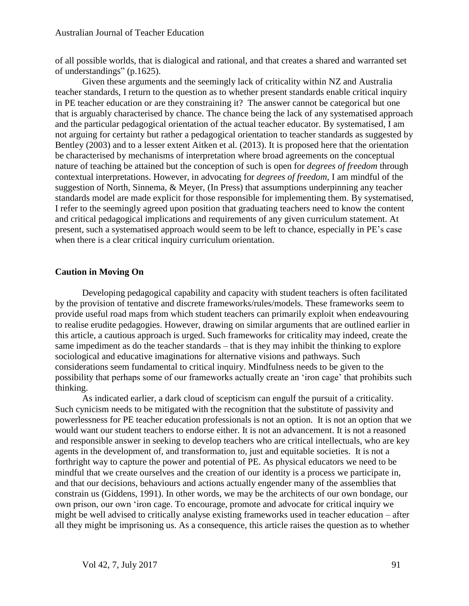of all possible worlds, that is dialogical and rational, and that creates a shared and warranted set of understandings" (p.1625).

Given these arguments and the seemingly lack of criticality within NZ and Australia teacher standards, I return to the question as to whether present standards enable critical inquiry in PE teacher education or are they constraining it? The answer cannot be categorical but one that is arguably characterised by chance. The chance being the lack of any systematised approach and the particular pedagogical orientation of the actual teacher educator. By systematised, I am not arguing for certainty but rather a pedagogical orientation to teacher standards as suggested by Bentley (2003) and to a lesser extent Aitken et al. (2013). It is proposed here that the orientation be characterised by mechanisms of interpretation where broad agreements on the conceptual nature of teaching be attained but the conception of such is open for *degrees of freedom* through contextual interpretations. However, in advocating for *degrees of freedom,* I am mindful of the suggestion of North, Sinnema, & Meyer, (In Press) that assumptions underpinning any teacher standards model are made explicit for those responsible for implementing them. By systematised, I refer to the seemingly agreed upon position that graduating teachers need to know the content and critical pedagogical implications and requirements of any given curriculum statement. At present, such a systematised approach would seem to be left to chance, especially in PE's case when there is a clear critical inquiry curriculum orientation.

#### **Caution in Moving On**

Developing pedagogical capability and capacity with student teachers is often facilitated by the provision of tentative and discrete frameworks/rules/models. These frameworks seem to provide useful road maps from which student teachers can primarily exploit when endeavouring to realise erudite pedagogies. However, drawing on similar arguments that are outlined earlier in this article, a cautious approach is urged. Such frameworks for criticality may indeed, create the same impediment as do the teacher standards *–* that is they may inhibit the thinking to explore sociological and educative imaginations for alternative visions and pathways. Such considerations seem fundamental to critical inquiry. Mindfulness needs to be given to the possibility that perhaps some of our frameworks actually create an 'iron cage' that prohibits such thinking.

As indicated earlier, a dark cloud of scepticism can engulf the pursuit of a criticality. Such cynicism needs to be mitigated with the recognition that the substitute of passivity and powerlessness for PE teacher education professionals is not an option. It is not an option that we would want our student teachers to endorse either. It is not an advancement. It is not a reasoned and responsible answer in seeking to develop teachers who are critical intellectuals, who are key agents in the development of, and transformation to, just and equitable societies. It is not a forthright way to capture the power and potential of PE. As physical educators we need to be mindful that we create ourselves and the creation of our identity is a process we participate in, and that our decisions, behaviours and actions actually engender many of the assemblies that constrain us (Giddens, 1991). In other words, we may be the architects of our own bondage, our own prison, our own 'iron cage. To encourage, promote and advocate for critical inquiry we might be well advised to critically analyse existing frameworks used in teacher education – after all they might be imprisoning us. As a consequence, this article raises the question as to whether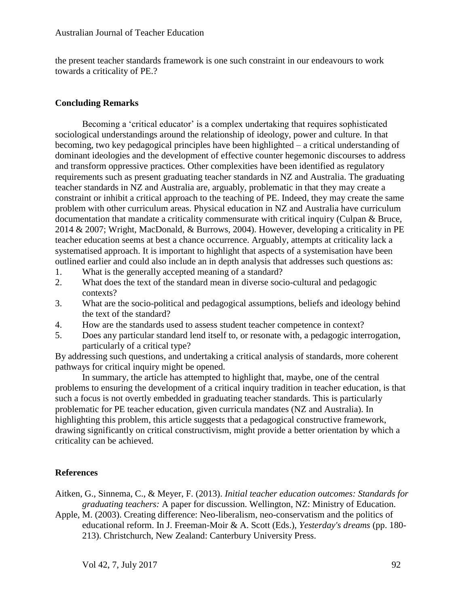the present teacher standards framework is one such constraint in our endeavours to work towards a criticality of PE.?

### **Concluding Remarks**

Becoming a 'critical educator' is a complex undertaking that requires sophisticated sociological understandings around the relationship of ideology, power and culture. In that becoming, two key pedagogical principles have been highlighted – a critical understanding of dominant ideologies and the development of effective counter hegemonic discourses to address and transform oppressive practices. Other complexities have been identified as regulatory requirements such as present graduating teacher standards in NZ and Australia. The graduating teacher standards in NZ and Australia are, arguably, problematic in that they may create a constraint or inhibit a critical approach to the teaching of PE. Indeed, they may create the same problem with other curriculum areas. Physical education in NZ and Australia have curriculum documentation that mandate a criticality commensurate with critical inquiry (Culpan & Bruce, 2014 & 2007; Wright, MacDonald, & Burrows, 2004). However, developing a criticality in PE teacher education seems at best a chance occurrence. Arguably, attempts at criticality lack a systematised approach. It is important to highlight that aspects of a systemisation have been outlined earlier and could also include an in depth analysis that addresses such questions as:

- 1. What is the generally accepted meaning of a standard?
- 2. What does the text of the standard mean in diverse socio-cultural and pedagogic contexts?
- 3. What are the socio-political and pedagogical assumptions, beliefs and ideology behind the text of the standard?
- 4. How are the standards used to assess student teacher competence in context?
- 5. Does any particular standard lend itself to, or resonate with, a pedagogic interrogation, particularly of a critical type?

By addressing such questions, and undertaking a critical analysis of standards, more coherent pathways for critical inquiry might be opened.

In summary, the article has attempted to highlight that, maybe, one of the central problems to ensuring the development of a critical inquiry tradition in teacher education, is that such a focus is not overtly embedded in graduating teacher standards. This is particularly problematic for PE teacher education, given curricula mandates (NZ and Australia). In highlighting this problem, this article suggests that a pedagogical constructive framework, drawing significantly on critical constructivism, might provide a better orientation by which a criticality can be achieved.

## **References**

Aitken, G., Sinnema, C., & Meyer, F. (2013). *Initial teacher education outcomes: Standards for graduating teachers:* A paper for discussion. Wellington, NZ: Ministry of Education.

Apple, M. (2003). Creating difference: Neo-liberalism, neo-conservatism and the politics of educational reform. In J. Freeman-Moir & A. Scott (Eds.), *Yesterday's dreams* (pp. 180- 213). Christchurch, New Zealand: Canterbury University Press.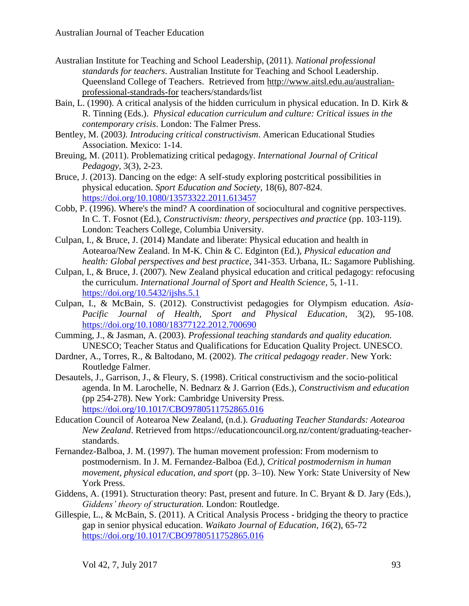- Australian Institute for Teaching and School Leadership, (2011). *National professional standards for teachers*. Australian Institute for Teaching and School Leadership. Queensland College of Teachers. Retrieved from [http://www.aitsl.edu.au/australian](http://www.aitsl.edu.au/australian-professional-standrads-for)[professional-standrads-for](http://www.aitsl.edu.au/australian-professional-standrads-for) teachers/standards/list
- Bain, L. (1990). A critical analysis of the hidden curriculum in physical education. In D. Kirk & R. Tinning (Eds.). *Physical education curriculum and culture: Critical issues in the contemporary crisis*. London: The Falmer Press.
- Bentley, M. (2003*). Introducing critical constructivism*. American Educational Studies Association. Mexico: 1-14.
- Breuing, M. (2011). Problematizing critical pedagogy. *International Journal of Critical Pedagogy,* 3(3), 2-23.
- Bruce, J. (2013). Dancing on the edge: A self-study exploring postcritical possibilities in physical education. *Sport Education and Society*, 18(6), 807-824. <https://doi.org/10.1080/13573322.2011.613457>
- Cobb, P. (1996). Where's the mind? A coordination of sociocultural and cognitive perspectives. In C. T. Fosnot (Ed.), *Constructivism: theory, perspectives and practice* (pp. 103-119). London: Teachers College, Columbia University.
- Culpan, I., & Bruce, J. (2014) Mandate and liberate: Physical education and health in Aotearoa/New Zealand. In M-K. Chin & C. Edginton (Ed.), *Physical education and health: Global perspectives and best practice*, 341-353. Urbana, IL: Sagamore Publishing.
- Culpan, I., & Bruce, J. (2007). New Zealand physical education and critical pedagogy: refocusing the curriculum. *International Journal of Sport and Health Science*, 5, 1-11. <https://doi.org/10.5432/ijshs.5.1>
- Culpan, I., & McBain, S. (2012). Constructivist pedagogies for Olympism education. *Asia-Pacific Journal of Health, Sport and Physical Education*, 3(2), 95-108. <https://doi.org/10.1080/18377122.2012.700690>
- Cumming, J., & Jasman, A. (2003). *Professional teaching standards and quality education.* UNESCO; Teacher Status and Qualifications for Education Quality Project. UNESCO.
- Dardner, A., Torres, R., & Baltodano, M. (2002). *The critical pedagogy reader*. New York: Routledge Falmer.
- Desautels, J., Garrison, J., & Fleury, S. (1998). Critical constructivism and the socio-political agenda. In M. Larochelle, N. Bednarz & J. Garrion (Eds.), *Constructivism and education* (pp 254-278). New York: Cambridge University Press. <https://doi.org/10.1017/CBO9780511752865.016>
- Education Council of Aotearoa New Zealand, (n.d.). *Graduating Teacher Standards: Aotearoa New Zealand*. Retrieved from https://educationcouncil.org.nz/content/graduating-teacherstandards.
- Fernandez-Balboa, J. M. (1997). The human movement profession: From modernism to postmodernism. In J. M. Fernandez-Balboa (Ed*.), Critical postmodernism in human movement, physical education, and sport* (pp. 3–10). New York: State University of New York Press.
- Giddens, A. (1991). Structuration theory: Past, present and future. In C. Bryant & D. Jary (Eds.), *Giddens' theory of structuration.* London: Routledge.
- Gillespie, L., & McBain, S. (2011). A Critical Analysis Process bridging the theory to practice gap in senior physical education. *Waikato Journal of Education, 16*(2), 65-72 <https://doi.org/10.1017/CBO9780511752865.016>